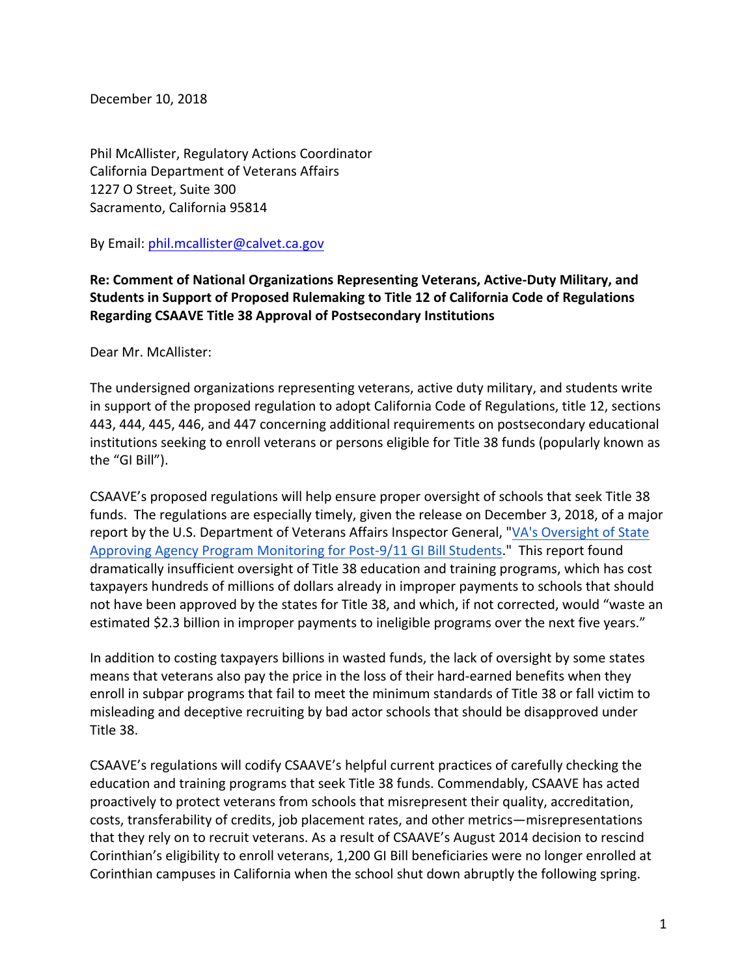December 10, 2018

Phil McAllister, Regulatory Actions Coordinator California Department of Veterans Affairs 1227 O Street, Suite 300 Sacramento, California 95814

By Email: phil.mcallister@calvet.ca.gov

## **Re: Comment of National Organizations Representing Veterans, Active-Duty Military, and** Students in Support of Proposed Rulemaking to Title 12 of California Code of Regulations **Regarding CSAAVE Title 38 Approval of Postsecondary Institutions**

Dear Mr. McAllister:

The undersigned organizations representing veterans, active duty military, and students write in support of the proposed regulation to adopt California Code of Regulations, title 12, sections 443, 444, 445, 446, and 447 concerning additional requirements on postsecondary educational institutions seeking to enroll veterans or persons eligible for Title 38 funds (popularly known as the "GI Bill").

CSAAVE's proposed regulations will help ensure proper oversight of schools that seek Title 38 funds. The regulations are especially timely, given the release on December 3, 2018, of a major report by the U.S. Department of Veterans Affairs Inspector General, "VA's Oversight of State Approving Agency Program Monitoring for Post-9/11 GI Bill Students." This report found dramatically insufficient oversight of Title 38 education and training programs, which has cost taxpayers hundreds of millions of dollars already in improper payments to schools that should not have been approved by the states for Title 38, and which, if not corrected, would "waste an estimated \$2.3 billion in improper payments to ineligible programs over the next five years."

In addition to costing taxpayers billions in wasted funds, the lack of oversight by some states means that veterans also pay the price in the loss of their hard-earned benefits when they enroll in subpar programs that fail to meet the minimum standards of Title 38 or fall victim to misleading and deceptive recruiting by bad actor schools that should be disapproved under Title 38.

CSAAVE's regulations will codify CSAAVE's helpful current practices of carefully checking the education and training programs that seek Title 38 funds. Commendably, CSAAVE has acted proactively to protect veterans from schools that misrepresent their quality, accreditation, costs, transferability of credits, job placement rates, and other metrics—misrepresentations that they rely on to recruit veterans. As a result of CSAAVE's August 2014 decision to rescind Corinthian's eligibility to enroll veterans, 1,200 GI Bill beneficiaries were no longer enrolled at Corinthian campuses in California when the school shut down abruptly the following spring.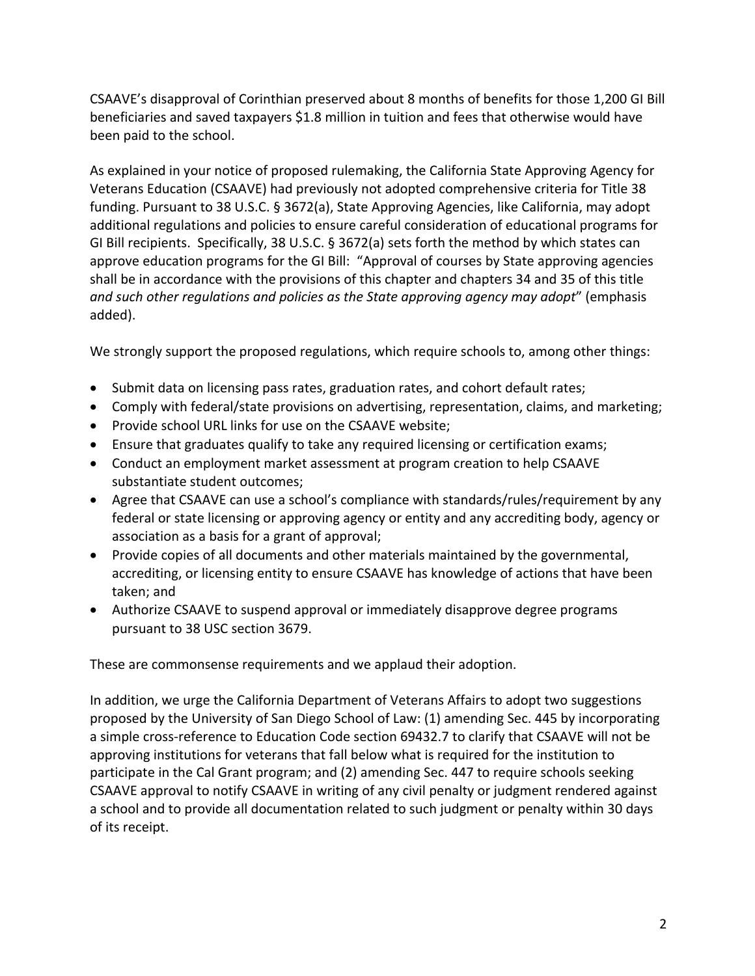CSAAVE's disapproval of Corinthian preserved about 8 months of benefits for those 1,200 GI Bill beneficiaries and saved taxpayers \$1.8 million in tuition and fees that otherwise would have been paid to the school.

As explained in your notice of proposed rulemaking, the California State Approving Agency for Veterans Education (CSAAVE) had previously not adopted comprehensive criteria for Title 38 funding. Pursuant to 38 U.S.C. § 3672(a), State Approving Agencies, like California, may adopt additional regulations and policies to ensure careful consideration of educational programs for GI Bill recipients. Specifically, 38 U.S.C. § 3672(a) sets forth the method by which states can approve education programs for the GI Bill: "Approval of courses by State approving agencies shall be in accordance with the provisions of this chapter and chapters 34 and 35 of this title and such other regulations and policies as the State approving agency may adopt" (emphasis added).

We strongly support the proposed regulations, which require schools to, among other things:

- Submit data on licensing pass rates, graduation rates, and cohort default rates;
- Comply with federal/state provisions on advertising, representation, claims, and marketing;
- Provide school URL links for use on the CSAAVE website;
- Ensure that graduates qualify to take any required licensing or certification exams;
- Conduct an employment market assessment at program creation to help CSAAVE substantiate student outcomes;
- Agree that CSAAVE can use a school's compliance with standards/rules/requirement by any federal or state licensing or approving agency or entity and any accrediting body, agency or association as a basis for a grant of approval;
- Provide copies of all documents and other materials maintained by the governmental, accrediting, or licensing entity to ensure CSAAVE has knowledge of actions that have been taken; and
- Authorize CSAAVE to suspend approval or immediately disapprove degree programs pursuant to 38 USC section 3679.

These are commonsense requirements and we applaud their adoption.

In addition, we urge the California Department of Veterans Affairs to adopt two suggestions proposed by the University of San Diego School of Law: (1) amending Sec. 445 by incorporating a simple cross-reference to Education Code section 69432.7 to clarify that CSAAVE will not be approving institutions for veterans that fall below what is required for the institution to participate in the Cal Grant program; and (2) amending Sec. 447 to require schools seeking CSAAVE approval to notify CSAAVE in writing of any civil penalty or judgment rendered against a school and to provide all documentation related to such judgment or penalty within 30 days of its receipt.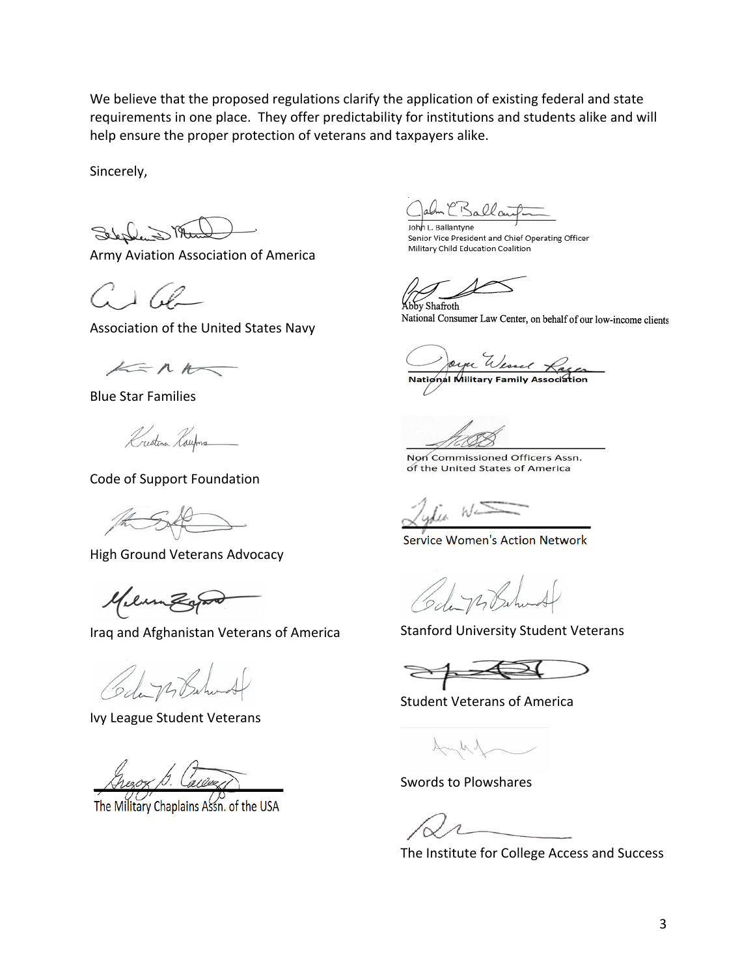We believe that the proposed regulations clarify the application of existing federal and state requirements in one place. They offer predictability for institutions and students alike and will help ensure the proper protection of veterans and taxpayers alike.

Sincerely,

Selection That

Army Aviation Association of America

 $G\perp G$ 

Association of the United States Navy

 $A = R R$ 

Blue Star Families

Krestina Roufons

Code of Support Foundation

the SAC

High Ground Veterans Advocacy

Meunzapo

Iraq and Afghanistan Veterans of America

Code 72 Bahund

Ivy League Student Veterans

The Military Chaplains Assn. of the USA

- CBallart John L. Ballantyne

Senior Vice President and Chief Operating Officer Military Child Education Coalition

bby Shafroth

National Consumer Law Center, on behalf of our low-income clients

Oyee Wessel Lage

Non Commissioned Officers Assn. of the United States of America

**Service Women's Action Network** 

Code 14 Behardt

Stanford University Student Veterans

Student Veterans of America

 $\mathcal{N}_{\mathcal{N}_{c}}$ 

Swords to Plowshares

The Institute for College Access and Success